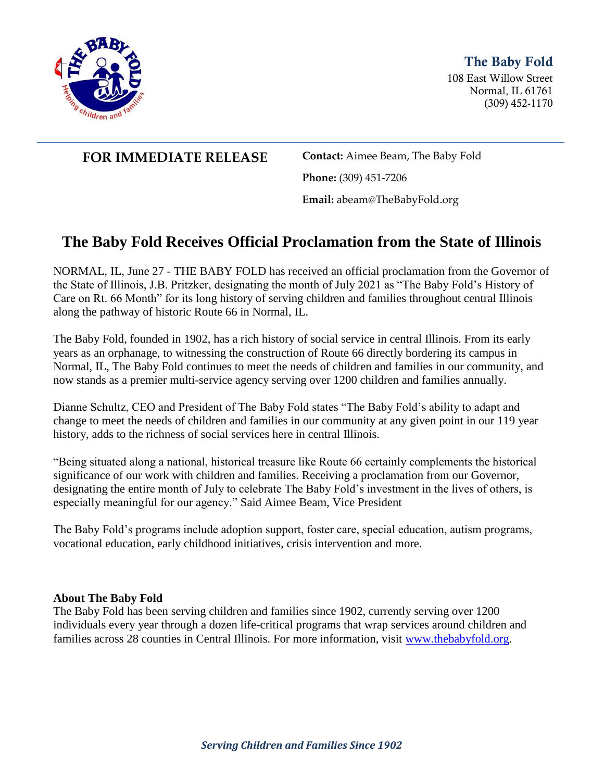

## The Baby Fold

108 East Willow Street Normal, IL 61761 (309) 452-1170

## **FOR IMMEDIATE RELEASE Contact:** Aimee Beam, The Baby Fold

**Phone:** (309) 451-7206

**Email:** abeam@TheBabyFold.org

# **The Baby Fold Receives Official Proclamation from the State of Illinois**

NORMAL, IL, June 27 - THE BABY FOLD has received an official proclamation from the Governor of the State of Illinois, J.B. Pritzker, designating the month of July 2021 as "The Baby Fold's History of Care on Rt. 66 Month" for its long history of serving children and families throughout central Illinois along the pathway of historic Route 66 in Normal, IL.

The Baby Fold, founded in 1902, has a rich history of social service in central Illinois. From its early years as an orphanage, to witnessing the construction of Route 66 directly bordering its campus in Normal, IL, The Baby Fold continues to meet the needs of children and families in our community, and now stands as a premier multi-service agency serving over 1200 children and families annually.

Dianne Schultz, CEO and President of The Baby Fold states "The Baby Fold's ability to adapt and change to meet the needs of children and families in our community at any given point in our 119 year history, adds to the richness of social services here in central Illinois.

"Being situated along a national, historical treasure like Route 66 certainly complements the historical significance of our work with children and families. Receiving a proclamation from our Governor, designating the entire month of July to celebrate The Baby Fold's investment in the lives of others, is especially meaningful for our agency." Said Aimee Beam, Vice President

The Baby Fold's programs include adoption support, foster care, special education, autism programs, vocational education, early childhood initiatives, crisis intervention and more.

#### **About The Baby Fold**

The Baby Fold has been serving children and families since 1902, currently serving over 1200 individuals every year through a dozen life-critical programs that wrap services around children and families across 28 counties in Central Illinois. For more information, visit [www.thebabyfold.org.](http://www.thebabyfold.org/)